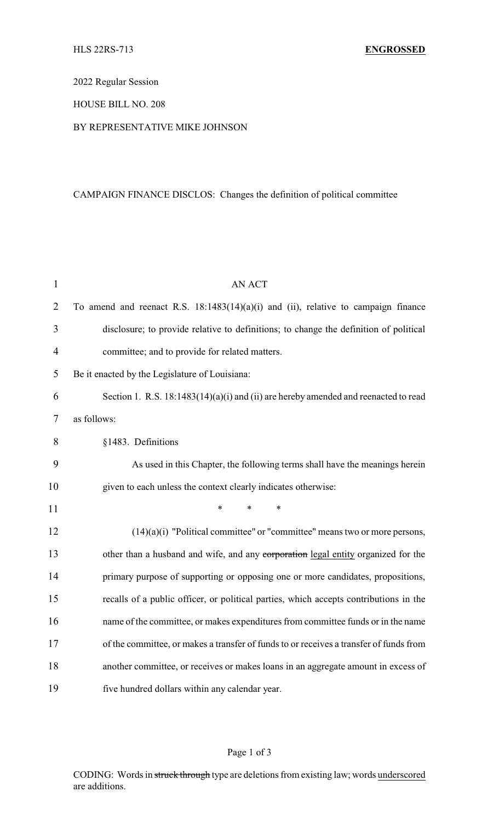### 2022 Regular Session

### HOUSE BILL NO. 208

### BY REPRESENTATIVE MIKE JOHNSON

# CAMPAIGN FINANCE DISCLOS: Changes the definition of political committee

| $\mathbf{1}$   | <b>AN ACT</b>                                                                          |  |  |
|----------------|----------------------------------------------------------------------------------------|--|--|
| $\overline{2}$ | To amend and reenact R.S. $18:1483(14)(a)(i)$ and (ii), relative to campaign finance   |  |  |
| 3              | disclosure; to provide relative to definitions; to change the definition of political  |  |  |
| $\overline{4}$ | committee; and to provide for related matters.                                         |  |  |
| 5              | Be it enacted by the Legislature of Louisiana:                                         |  |  |
| 6              | Section 1. R.S. 18:1483(14)(a)(i) and (ii) are hereby amended and reenacted to read    |  |  |
| 7              | as follows:                                                                            |  |  |
| 8              | §1483. Definitions                                                                     |  |  |
| 9              | As used in this Chapter, the following terms shall have the meanings herein            |  |  |
| 10             | given to each unless the context clearly indicates otherwise:                          |  |  |
| 11             | *<br>*                                                                                 |  |  |
| 12             | $(14)(a)(i)$ "Political committee" or "committee" means two or more persons,           |  |  |
| 13             | other than a husband and wife, and any corporation legal entity organized for the      |  |  |
| 14             | primary purpose of supporting or opposing one or more candidates, propositions,        |  |  |
| 15             | recalls of a public officer, or political parties, which accepts contributions in the  |  |  |
| 16             | name of the committee, or makes expenditures from committee funds or in the name       |  |  |
| 17             | of the committee, or makes a transfer of funds to or receives a transfer of funds from |  |  |
| 18             | another committee, or receives or makes loans in an aggregate amount in excess of      |  |  |
| 19             | five hundred dollars within any calendar year.                                         |  |  |

# Page 1 of 3

CODING: Words in struck through type are deletions from existing law; words underscored are additions.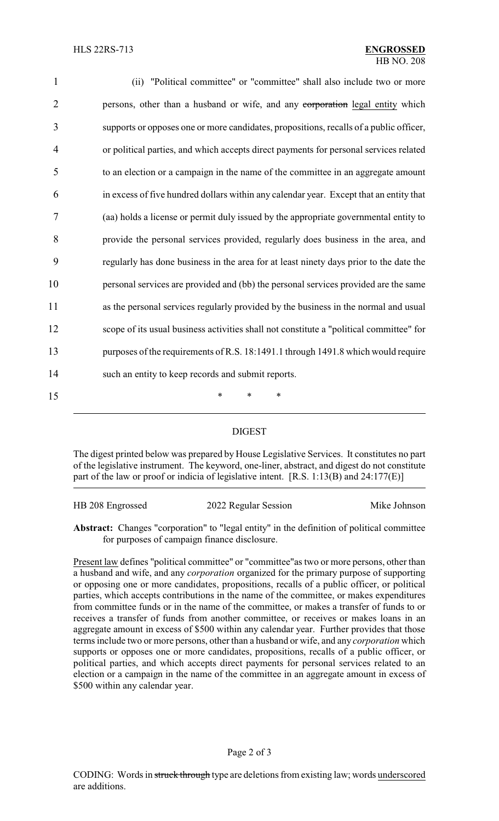| $\mathbf{1}$   | (ii) "Political committee" or "committee" shall also include two or more                |
|----------------|-----------------------------------------------------------------------------------------|
| $\overline{2}$ | persons, other than a husband or wife, and any corporation legal entity which           |
| 3              | supports or opposes one or more candidates, propositions, recalls of a public officer,  |
| 4              | or political parties, and which accepts direct payments for personal services related   |
| 5              | to an election or a campaign in the name of the committee in an aggregate amount        |
| 6              | in excess of five hundred dollars within any calendar year. Except that an entity that  |
| 7              | (aa) holds a license or permit duly issued by the appropriate governmental entity to    |
| 8              | provide the personal services provided, regularly does business in the area, and        |
| 9              | regularly has done business in the area for at least ninety days prior to the date the  |
| 10             | personal services are provided and (bb) the personal services provided are the same     |
| 11             | as the personal services regularly provided by the business in the normal and usual     |
| 12             | scope of its usual business activities shall not constitute a "political committee" for |
| 13             | purposes of the requirements of R.S. 18:1491.1 through 1491.8 which would require       |
| 14             | such an entity to keep records and submit reports.                                      |
| 15             | $\ast$<br>*<br>∗                                                                        |

#### DIGEST

The digest printed below was prepared by House Legislative Services. It constitutes no part of the legislative instrument. The keyword, one-liner, abstract, and digest do not constitute part of the law or proof or indicia of legislative intent. [R.S. 1:13(B) and 24:177(E)]

| HB 208 Engrossed | 2022 Regular Session | Mike Johnson |
|------------------|----------------------|--------------|
|                  |                      |              |

**Abstract:** Changes "corporation" to "legal entity" in the definition of political committee for purposes of campaign finance disclosure.

Present law defines "political committee" or "committee"as two or more persons, other than a husband and wife, and any *corporation* organized for the primary purpose of supporting or opposing one or more candidates, propositions, recalls of a public officer, or political parties, which accepts contributions in the name of the committee, or makes expenditures from committee funds or in the name of the committee, or makes a transfer of funds to or receives a transfer of funds from another committee, or receives or makes loans in an aggregate amount in excess of \$500 within any calendar year. Further provides that those terms include two or more persons, other than a husband or wife, and any *corporation* which supports or opposes one or more candidates, propositions, recalls of a public officer, or political parties, and which accepts direct payments for personal services related to an election or a campaign in the name of the committee in an aggregate amount in excess of \$500 within any calendar year.